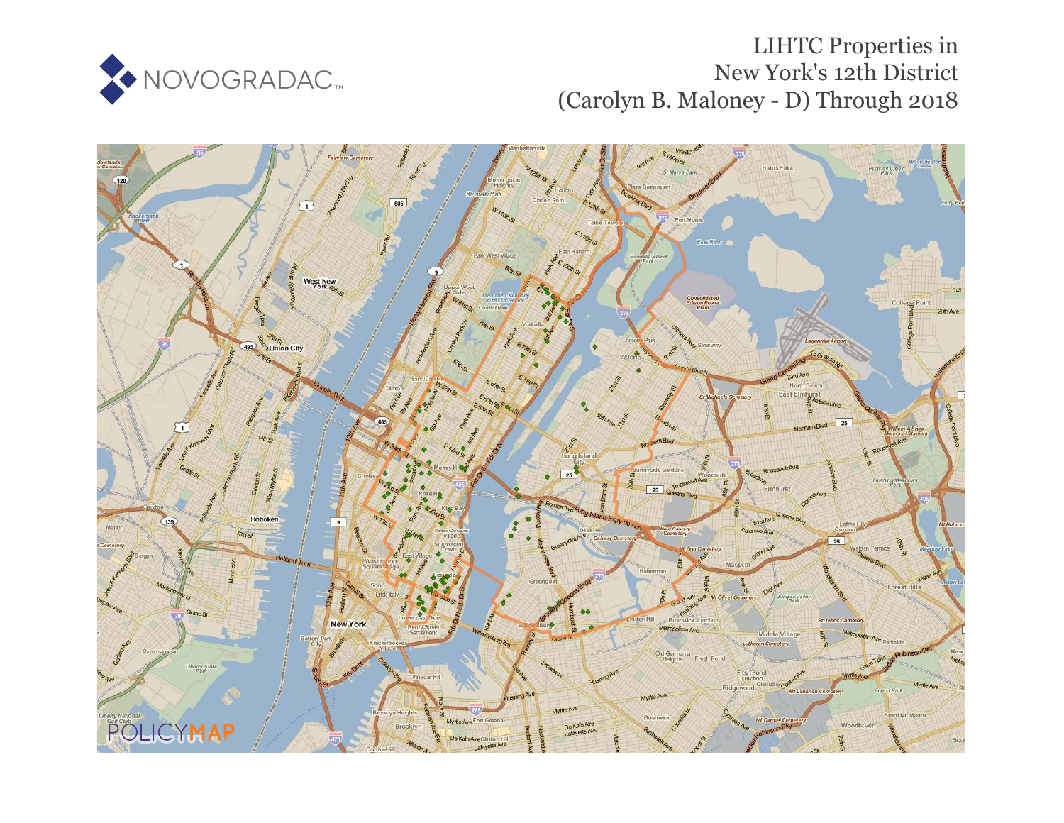

# LIHTC Properties in New York's 12th District (Carolyn B. Maloney - D) Through 2018

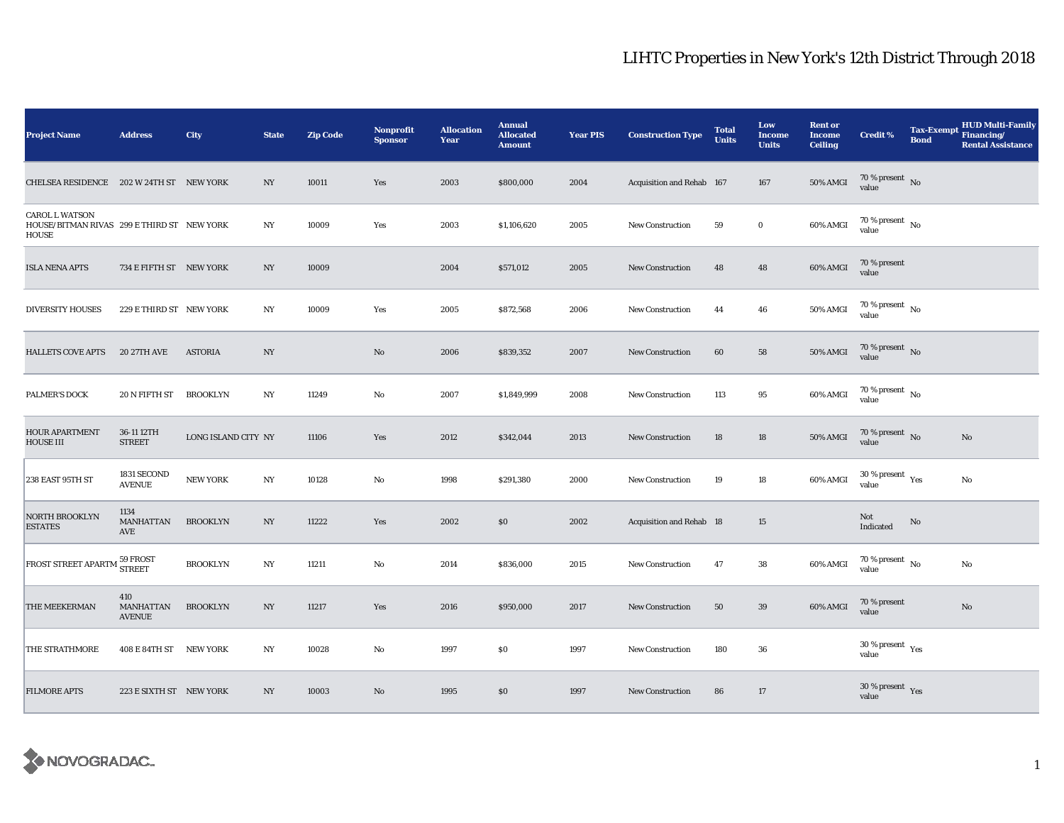| <b>Project Name</b>                                                                 | <b>Address</b>                    | <b>City</b>         | <b>State</b>     | <b>Zip Code</b> | <b>Nonprofit</b><br><b>Sponsor</b> | <b>Allocation</b><br>Year | <b>Annual</b><br><b>Allocated</b><br><b>Amount</b> | <b>Year PIS</b> | <b>Construction Type</b>  | <b>Total</b><br><b>Units</b> | Low<br><b>Income</b><br><b>Units</b> | <b>Rent or</b><br><b>Income</b><br><b>Ceiling</b> | <b>Credit %</b>                           | <b>Tax-Exempt</b><br><b>Bond</b> | <b>HUD Multi-Family</b><br>Financing/<br><b>Rental Assistance</b> |
|-------------------------------------------------------------------------------------|-----------------------------------|---------------------|------------------|-----------------|------------------------------------|---------------------------|----------------------------------------------------|-----------------|---------------------------|------------------------------|--------------------------------------|---------------------------------------------------|-------------------------------------------|----------------------------------|-------------------------------------------------------------------|
| CHELSEA RESIDENCE 202 W 24TH ST NEW YORK                                            |                                   |                     | NY.              | 10011           | Yes                                | 2003                      | \$800,000                                          | 2004            | Acquisition and Rehab 167 |                              | 167                                  | <b>50% AMGI</b>                                   | $70\,\%$ present $\,$ No value            |                                  |                                                                   |
| <b>CAROL L WATSON</b><br>HOUSE/BITMAN RIVAS 299 E THIRD ST NEW YORK<br><b>HOUSE</b> |                                   |                     | $_{\mathrm{NY}}$ | 10009           | Yes                                | 2003                      | \$1,106,620                                        | 2005            | New Construction          | 59                           | $\mathbf 0$                          | 60% AMGI                                          | $70\,\%$ present $\,$ No $\,$<br>value    |                                  |                                                                   |
| <b>ISLA NENA APTS</b>                                                               | 734 E FIFTH ST NEW YORK           |                     | $_{\mathrm{NY}}$ | 10009           |                                    | 2004                      | \$571,012                                          | 2005            | New Construction          | 48                           | 48                                   | 60% AMGI                                          | 70 % present<br>value                     |                                  |                                                                   |
| <b>DIVERSITY HOUSES</b>                                                             | 229 E THIRD ST NEW YORK           |                     | NY               | 10009           | Yes                                | 2005                      | \$872,568                                          | 2006            | New Construction          | 44                           | 46                                   | <b>50% AMGI</b>                                   | 70 % present $\hbox{~No}$<br>value        |                                  |                                                                   |
| <b>HALLETS COVE APTS</b>                                                            | <b>20 27TH AVE</b>                | <b>ASTORIA</b>      | $_{\mathrm{NY}}$ |                 | No                                 | 2006                      | \$839,352                                          | 2007            | <b>New Construction</b>   | 60                           | 58                                   | <b>50% AMGI</b>                                   | 70 % present $\hbox{~No}$<br>value        |                                  |                                                                   |
| <b>PALMER'S DOCK</b>                                                                | 20 N FIFTH ST                     | <b>BROOKLYN</b>     | $_{\mathrm{NY}}$ | 11249           | No                                 | 2007                      | \$1,849,999                                        | 2008            | New Construction          | 113                          | 95                                   | 60% AMGI                                          | $70\,\%$ present $\,$ No value            |                                  |                                                                   |
| <b>HOUR APARTMENT</b><br><b>HOUSE III</b>                                           | 36-11 12TH<br><b>STREET</b>       | LONG ISLAND CITY NY |                  | 11106           | Yes                                | 2012                      | \$342,044                                          | 2013            | <b>New Construction</b>   | 18                           | 18                                   | 50% AMGI                                          | 70 % present $\hbox{~No}$<br>value        |                                  | No                                                                |
| 238 EAST 95TH ST                                                                    | 1831 SECOND<br><b>AVENUE</b>      | <b>NEW YORK</b>     | NY               | 10128           | No                                 | 1998                      | \$291,380                                          | 2000            | New Construction          | 19                           | 18                                   | 60% AMGI                                          | $30$ % present $\,$ $\rm Yes$<br>value    |                                  | No                                                                |
| <b>NORTH BROOKLYN</b><br><b>ESTATES</b>                                             | 1134<br>MANHATTAN<br>AVE          | <b>BROOKLYN</b>     | $_{\mathrm{NY}}$ | 11222           | Yes                                | 2002                      | \$0                                                | 2002            | Acquisition and Rehab 18  |                              | 15                                   |                                                   | Not<br>Indicated                          | No                               |                                                                   |
| FROST STREET APARTM 59 FROST                                                        |                                   | <b>BROOKLYN</b>     | $_{\mathrm{NY}}$ | 11211           | No                                 | 2014                      | \$836,000                                          | 2015            | <b>New Construction</b>   | 47                           | ${\bf 38}$                           | 60% AMGI                                          | 70 % present $\hbox{~No}$<br>value        |                                  | No                                                                |
| THE MEEKERMAN                                                                       | 410<br>MANHATTAN<br><b>AVENUE</b> | <b>BROOKLYN</b>     | NY               | 11217           | Yes                                | 2016                      | \$950,000                                          | 2017            | New Construction          | 50                           | 39                                   | 60% AMGI                                          | 70 % present<br>value                     |                                  | $\rm No$                                                          |
| THE STRATHMORE                                                                      | 408 E 84TH ST NEW YORK            |                     | N <sub>Y</sub>   | 10028           | No                                 | 1997                      | \$0                                                | 1997            | <b>New Construction</b>   | 180                          | 36                                   |                                                   | $30\,\%$ present $\,$ $\rm{Yes}$<br>value |                                  |                                                                   |
| <b>FILMORE APTS</b>                                                                 | 223 E SIXTH ST NEW YORK           |                     | NY.              | 10003           | No                                 | 1995                      | \$0                                                | 1997            | <b>New Construction</b>   | 86                           | 17                                   |                                                   | 30 % present $\gamma_{\rm{es}}$<br>value  |                                  |                                                                   |

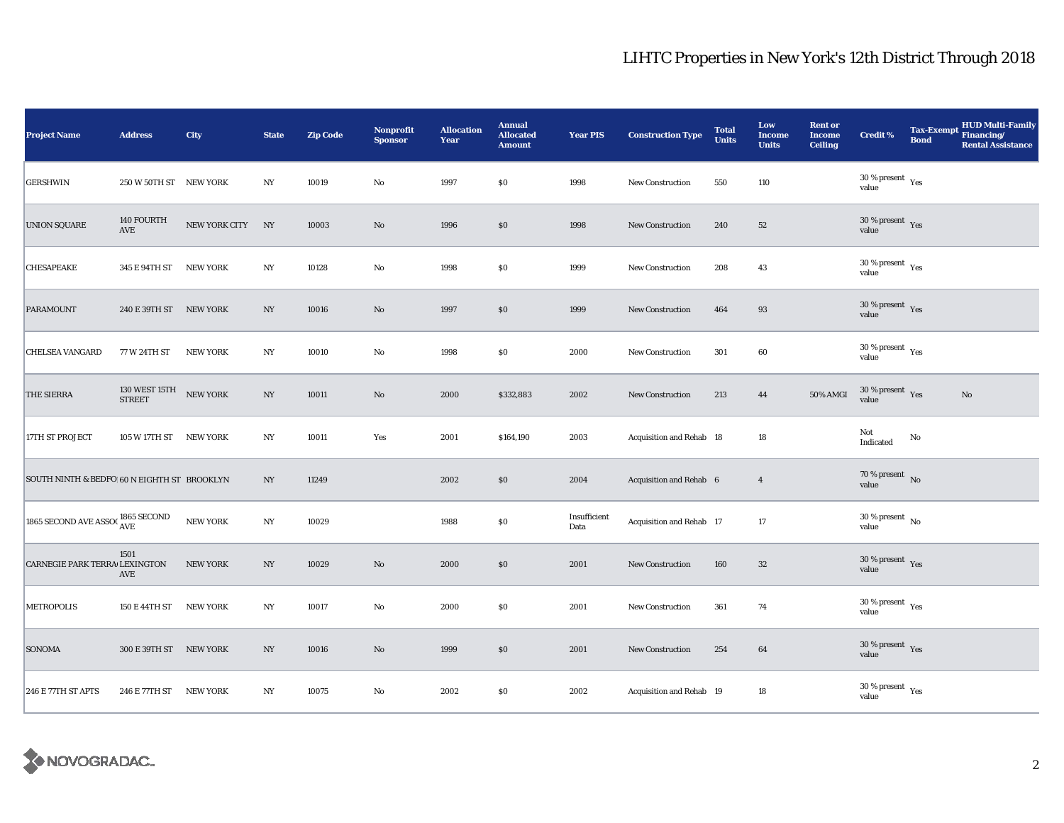| <b>Project Name</b>                           | <b>Address</b>                                                       | City             | <b>State</b>     | <b>Zip Code</b> | <b>Nonprofit</b><br><b>Sponsor</b> | <b>Allocation</b><br>Year | <b>Annual</b><br><b>Allocated</b><br><b>Amount</b> | <b>Year PIS</b>      | <b>Construction Type</b> | <b>Total</b><br><b>Units</b> | Low<br><b>Income</b><br><b>Units</b> | <b>Rent or</b><br><b>Income</b><br><b>Ceiling</b> | <b>Credit %</b>                        | <b>Bond</b>   | <b>HUD Multi-Family</b><br>Tax-Exempt Financing/<br><b>Rental Assistance</b> |
|-----------------------------------------------|----------------------------------------------------------------------|------------------|------------------|-----------------|------------------------------------|---------------------------|----------------------------------------------------|----------------------|--------------------------|------------------------------|--------------------------------------|---------------------------------------------------|----------------------------------------|---------------|------------------------------------------------------------------------------|
| <b>GERSHWIN</b>                               | 250 W 50TH ST NEW YORK                                               |                  | NY               | 10019           | $\rm No$                           | 1997                      | \$0                                                | 1998                 | New Construction         | 550                          | 110                                  |                                                   | $30\,\%$ present $\,$ Yes value        |               |                                                                              |
| <b>UNION SQUARE</b>                           | 140 FOURTH<br>$\operatorname{AVE}$                                   | NEW YORK CITY NY |                  | 10003           | $\mathbf{N}\mathbf{o}$             | 1996                      | \$0                                                | 1998                 | <b>New Construction</b>  | 240                          | 52                                   |                                                   | $30$ % present $\,$ $\rm Yes$<br>value |               |                                                                              |
| CHESAPEAKE                                    | 345 E 94TH ST                                                        | <b>NEW YORK</b>  | NY               | 10128           | $\rm No$                           | 1998                      | \$0                                                | 1999                 | New Construction         | 208                          | 43                                   |                                                   | 30 % present $\rm\,Yes$<br>value       |               |                                                                              |
| <b>PARAMOUNT</b>                              | 240 E 39TH ST NEW YORK                                               |                  | NY               | 10016           | $\mathbf{N}\mathbf{o}$             | 1997                      | \$0                                                | 1999                 | <b>New Construction</b>  | 464                          | 93                                   |                                                   | $30$ % present $\,$ $\rm Yes$<br>value |               |                                                                              |
| <b>CHELSEA VANGARD</b>                        | 77 W 24TH ST                                                         | <b>NEW YORK</b>  | $_{\mathrm{NY}}$ | 10010           | No                                 | 1998                      | \$0                                                | 2000                 | <b>New Construction</b>  | 301                          | 60                                   |                                                   | $30\,\%$ present $\,$ Yes value        |               |                                                                              |
| <b>THE SIERRA</b>                             | $130~\rm{WEST}$ $15 \rm{TH}$ $$\rm{NEW}$ $\rm{YORK}$ $$\rm{STREET}$$ |                  | $_{\mathrm{NY}}$ | 10011           | $\rm\thinspace No$                 | 2000                      | \$332,883                                          | 2002                 | <b>New Construction</b>  | 213                          | 44                                   | 50% AMGI                                          | $30\,\%$ present $\,$ Yes value        |               | No                                                                           |
| 17TH ST PROJECT                               | 105 W 17TH ST                                                        | NEW YORK         | $_{\mathrm{NY}}$ | 10011           | Yes                                | 2001                      | \$164,190                                          | 2003                 | Acquisition and Rehab 18 |                              | $18\,$                               |                                                   | Not<br>Indicated                       | $\mathbf{No}$ |                                                                              |
| SOUTH NINTH & BEDFO 60 N EIGHTH ST BROOKLYN   |                                                                      |                  | $_{\mathrm{NY}}$ | 11249           |                                    | 2002                      | \$0                                                | 2004                 | Acquisition and Rehab 6  |                              | $\overline{4}$                       |                                                   | $70\,\%$ present $\,$ No value         |               |                                                                              |
| 1865 SECOND AVE ASSO $\chi^{1865~\rm SECOND}$ |                                                                      | <b>NEW YORK</b>  | $_{\mathrm{NY}}$ | 10029           |                                    | 1988                      | \$0                                                | Insufficient<br>Data | Acquisition and Rehab 17 |                              | 17                                   |                                                   | $30$ % present $\,$ No $\,$<br>value   |               |                                                                              |
| CARNEGIE PARK TERRA LEXINGTON                 | 1501<br>AVE                                                          | <b>NEW YORK</b>  | $_{\mathrm{NY}}$ | 10029           | $\rm No$                           | 2000                      | \$0                                                | 2001                 | New Construction         | 160                          | 32                                   |                                                   | $30\,\%$ present $\,$ Yes<br>value     |               |                                                                              |
| <b>METROPOLIS</b>                             | 150 E 44TH ST                                                        | <b>NEW YORK</b>  | NY               | 10017           | No                                 | 2000                      | \$0                                                | 2001                 | <b>New Construction</b>  | 361                          | 74                                   |                                                   | $30$ % present $\,$ $\rm Yes$<br>value |               |                                                                              |
| <b>SONOMA</b>                                 | 300 E 39TH ST NEW YORK                                               |                  | $_{\mathrm{NY}}$ | 10016           | $\mathbf{N}\mathbf{o}$             | 1999                      | \$0                                                | 2001                 | New Construction         | 254                          | 64                                   |                                                   | $30\,\%$ present $\,$ Yes<br>value     |               |                                                                              |
| <b>246 E 77TH ST APTS</b>                     | 246 E 77TH ST                                                        | <b>NEW YORK</b>  | $_{\mathrm{NY}}$ | 10075           | No                                 | 2002                      | \$0                                                | 2002                 | Acquisition and Rehab 19 |                              | 18                                   |                                                   | $30\,\%$ present $\,$ Yes value        |               |                                                                              |

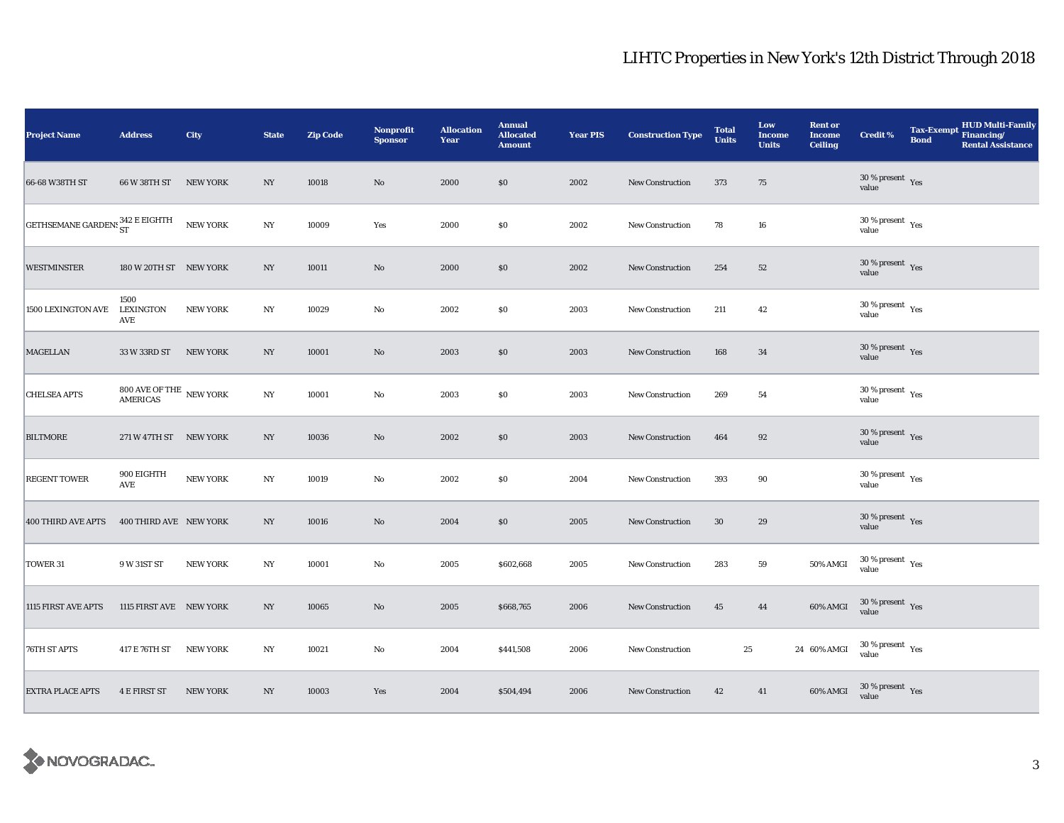| <b>Project Name</b>             | <b>Address</b>                          | City            | <b>State</b>     | <b>Zip Code</b> | <b>Nonprofit</b><br><b>Sponsor</b> | <b>Allocation</b><br>Year | <b>Annual</b><br><b>Allocated</b><br><b>Amount</b> | <b>Year PIS</b> | <b>Construction Type</b> | <b>Total</b><br><b>Units</b> | Low<br><b>Income</b><br><b>Units</b> | <b>Rent or</b><br><b>Income</b><br><b>Ceiling</b> | <b>Credit %</b>                             | <b>HUD Multi-Family</b><br>Tax-Exempt Financing/<br><b>Bond</b><br><b>Rental Assistance</b> |
|---------------------------------|-----------------------------------------|-----------------|------------------|-----------------|------------------------------------|---------------------------|----------------------------------------------------|-----------------|--------------------------|------------------------------|--------------------------------------|---------------------------------------------------|---------------------------------------------|---------------------------------------------------------------------------------------------|
| 66-68 W38TH ST                  | 66 W 38TH ST                            | <b>NEW YORK</b> | NY               | 10018           | $\rm No$                           | 2000                      | \$0                                                | 2002            | <b>New Construction</b>  | 373                          | 75                                   |                                                   | $30\,\%$ present $\,$ Yes value             |                                                                                             |
| GETHSEMANE GARDENS 342 E EIGHTH |                                         | NEW YORK        | N <sub>Y</sub>   | 10009           | Yes                                | 2000                      | $\$0$                                              | 2002            | <b>New Construction</b>  | 78                           | ${\bf 16}$                           |                                                   | $30\,\%$ present $\,$ $_{\rm Yes}$<br>value |                                                                                             |
| <b>WESTMINSTER</b>              | 180 W 20TH ST NEW YORK                  |                 | NY               | 10011           | $\rm No$                           | 2000                      | \$0                                                | 2002            | New Construction         | 254                          | 52                                   |                                                   | $30\,\%$ present $\,$ Yes value             |                                                                                             |
| 1500 LEXINGTON AVE              | 1500<br>LEXINGTON<br>AVE                | <b>NEW YORK</b> | NY               | 10029           | No                                 | 2002                      | \$0                                                | 2003            | <b>New Construction</b>  | 211                          | 42                                   |                                                   | $30$ % present $\,$ $\rm Yes$<br>value      |                                                                                             |
| <b>MAGELLAN</b>                 | 33 W 33RD ST                            | <b>NEW YORK</b> | NY               | 10001           | No                                 | 2003                      | $\$0$                                              | 2003            | New Construction         | 168                          | 34                                   |                                                   | $30\,\%$ present $\,$ Yes value             |                                                                                             |
| <b>CHELSEA APTS</b>             | $800$ AVE OF THE $\:$ NEW YORK AMERICAS |                 | $_{\mathrm{NY}}$ | 10001           | $\rm No$                           | 2003                      | \$0                                                | 2003            | <b>New Construction</b>  | 269                          | 54                                   |                                                   | $30\,\%$ present $\,$ Yes value             |                                                                                             |
| <b>BILTMORE</b>                 | 271 W 47TH ST NEW YORK                  |                 | NY               | 10036           | $\mathbf{No}$                      | 2002                      | \$0                                                | 2003            | <b>New Construction</b>  | 464                          | $92\,$                               |                                                   | $30\,\%$ present $\,$ Yes value             |                                                                                             |
| <b>REGENT TOWER</b>             | 900 EIGHTH<br>AVE                       | NEW YORK        | $_{\mathrm{NY}}$ | 10019           | No                                 | 2002                      | $\$0$                                              | 2004            | <b>New Construction</b>  | 393                          | 90                                   |                                                   | $30\,\%$ present $\,$ Yes value             |                                                                                             |
| <b>400 THIRD AVE APTS</b>       | 400 THIRD AVE NEW YORK                  |                 | NY               | 10016           | $\mathbf{N}\mathbf{o}$             | 2004                      | $\$0$                                              | 2005            | New Construction         | 30                           | 29                                   |                                                   | $30\,\%$ present $\,$ Yes<br>value          |                                                                                             |
| TOWER 31                        | 9 W 31ST ST                             | <b>NEW YORK</b> | NY               | 10001           | $\mathbf{N}\mathbf{o}$             | 2005                      | \$602,668                                          | 2005            | New Construction         | 283                          | ${\bf 59}$                           | 50% AMGI                                          | $30\,\%$ present $\,$ $\rm Yes$<br>value    |                                                                                             |
| 1115 FIRST AVE APTS             | 1115 FIRST AVE NEW YORK                 |                 | NY               | 10065           | No                                 | 2005                      | \$668,765                                          | 2006            | <b>New Construction</b>  | 45                           | 44                                   | 60% AMGI                                          | $30\%$ present Yes<br>value                 |                                                                                             |
| 76TH ST APTS                    | 417 E 76TH ST                           | <b>NEW YORK</b> | $_{\mathrm{NY}}$ | 10021           | No                                 | 2004                      | \$441,508                                          | 2006            | New Construction         | 25                           |                                      | 24 60% AMGI                                       | $30\,\%$ present $\,$ Yes value             |                                                                                             |
| <b>EXTRA PLACE APTS</b>         | <b>4 E FIRST ST</b>                     | <b>NEW YORK</b> | NY               | 10003           | Yes                                | 2004                      | \$504,494                                          | 2006            | <b>New Construction</b>  | 42                           | 41                                   | 60% AMGI                                          | $30\,\%$ present $\,$ Yes value             |                                                                                             |

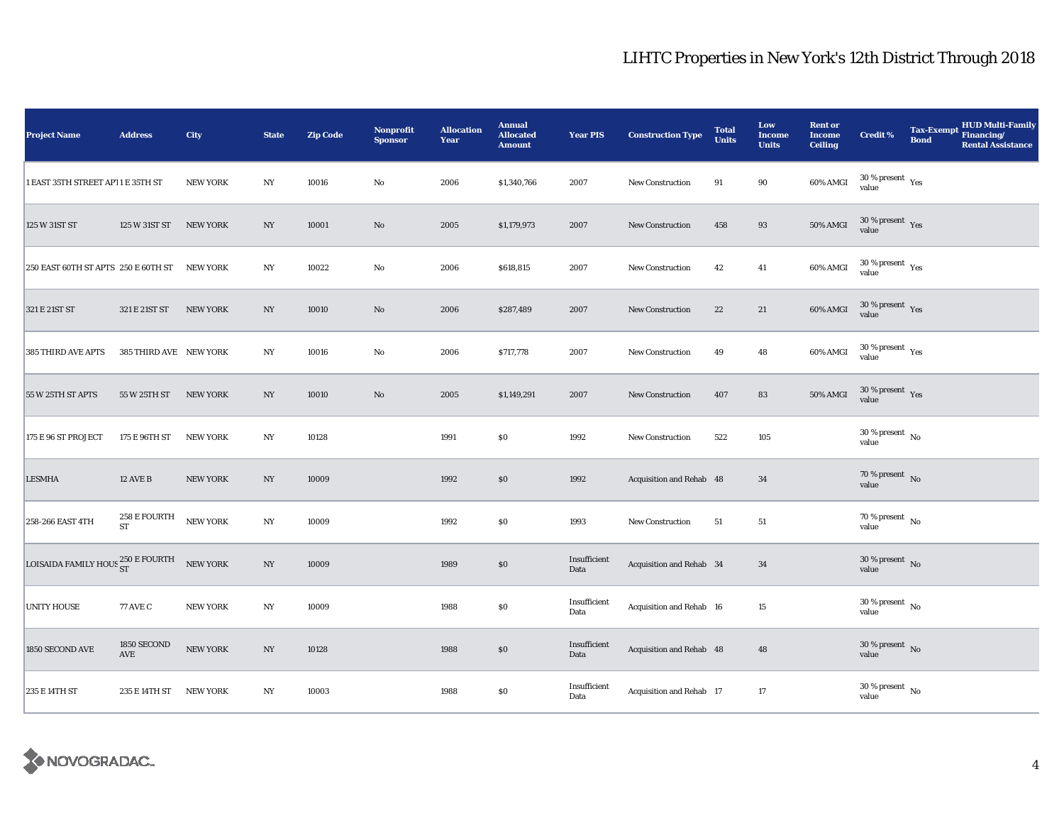| <b>Project Name</b>                 | <b>Address</b>         | City            | <b>State</b>     | <b>Zip Code</b> | <b>Nonprofit</b><br><b>Sponsor</b> | <b>Allocation</b><br>Year | <b>Annual</b><br><b>Allocated</b><br><b>Amount</b> | <b>Year PIS</b>      | <b>Construction Type</b> | <b>Total</b><br><b>Units</b> | Low<br><b>Income</b><br><b>Units</b> | <b>Rent or</b><br><b>Income</b><br><b>Ceiling</b> | <b>Credit %</b>                        | Tax-Exempt Financing/<br><b>Bond</b> | <b>HUD Multi-Family</b><br><b>Rental Assistance</b> |
|-------------------------------------|------------------------|-----------------|------------------|-----------------|------------------------------------|---------------------------|----------------------------------------------------|----------------------|--------------------------|------------------------------|--------------------------------------|---------------------------------------------------|----------------------------------------|--------------------------------------|-----------------------------------------------------|
| 1 EAST 35TH STREET AP11 E 35TH ST   |                        | <b>NEW YORK</b> | NY               | 10016           | $\rm No$                           | 2006                      | \$1,340,766                                        | 2007                 | <b>New Construction</b>  | 91                           | 90                                   | 60% AMGI                                          | $30\,\%$ present $\,$ Yes value        |                                      |                                                     |
| 125 W 31ST ST                       | 125 W 31ST ST          | <b>NEW YORK</b> | NY               | 10001           | $\mathbf{N}\mathbf{o}$             | 2005                      | \$1,179,973                                        | 2007                 | <b>New Construction</b>  | 458                          | 93                                   | <b>50% AMGI</b>                                   | $30$ % present $\,$ $\rm Yes$<br>value |                                      |                                                     |
| 250 EAST 60TH ST APTS 250 E 60TH ST |                        | NEW YORK        | NY               | 10022           | $\rm No$                           | 2006                      | \$618,815                                          | 2007                 | New Construction         | 42                           | 41                                   | 60% AMGI                                          | $30\,\%$ present $\,$ Yes value        |                                      |                                                     |
| 321 E 21ST ST                       | 321 E 21ST ST          | <b>NEW YORK</b> | NY               | 10010           | $\mathbf{N}\mathbf{o}$             | 2006                      | \$287,489                                          | 2007                 | <b>New Construction</b>  | 22                           | 21                                   | 60% AMGI                                          | $30\,\%$ present $\,$ Yes value        |                                      |                                                     |
| 385 THIRD AVE APTS                  | 385 THIRD AVE NEW YORK |                 | $_{\mathrm{NY}}$ | 10016           | No                                 | 2006                      | \$717,778                                          | 2007                 | <b>New Construction</b>  | 49                           | 48                                   | 60% AMGI                                          | $30\,\%$ present $\,$ Yes value        |                                      |                                                     |
| 55 W 25TH ST APTS                   | 55 W 25TH ST           | <b>NEW YORK</b> | $_{\mathrm{NY}}$ | 10010           | $\rm No$                           | 2005                      | \$1,149,291                                        | 2007                 | <b>New Construction</b>  | 407                          | 83                                   | $50\%$ AMGI                                       | $30\,\%$ present $\,$ Yes value        |                                      |                                                     |
| 175 E 96 ST PROJECT                 | 175 E 96TH ST          | <b>NEW YORK</b> | $_{\mathrm{NY}}$ | 10128           |                                    | 1991                      | \$0                                                | 1992                 | <b>New Construction</b>  | 522                          | 105                                  |                                                   | $30$ % present $\,$ No value           |                                      |                                                     |
| <b>LESMHA</b>                       | <b>12 AVE B</b>        | <b>NEW YORK</b> | $_{\mathrm{NY}}$ | 10009           |                                    | 1992                      | \$0                                                | 1992                 | Acquisition and Rehab 48 |                              | 34                                   |                                                   | $70\,\%$ present $\,$ No value         |                                      |                                                     |
| 258-266 EAST 4TH                    | 258 E FOURTH<br>ST     | <b>NEW YORK</b> | $_{\mathrm{NY}}$ | 10009           |                                    | 1992                      | \$0                                                | 1993                 | New Construction         | 51                           | 51                                   |                                                   | $70$ % present $\,$ No $\,$<br>value   |                                      |                                                     |
| LOISAIDA FAMILY HOUS 250 E FOURTH   |                        | NEW YORK        | $_{\mathrm{NY}}$ | 10009           |                                    | 1989                      | \$0                                                | Insufficient<br>Data | Acquisition and Rehab 34 |                              | 34                                   |                                                   | $30\,\%$ present $\,$ No value         |                                      |                                                     |
| <b>UNITY HOUSE</b>                  | <b>77 AVE C</b>        | <b>NEW YORK</b> | NY               | 10009           |                                    | 1988                      | \$0                                                | Insufficient<br>Data | Acquisition and Rehab 16 |                              | 15                                   |                                                   | $30$ % present $\,$ No $\,$<br>value   |                                      |                                                     |
| 1850 SECOND AVE                     | 1850 SECOND<br>AVE     | <b>NEW YORK</b> | $_{\mathrm{NY}}$ | 10128           |                                    | 1988                      | $\$0$                                              | Insufficient<br>Data | Acquisition and Rehab 48 |                              | 48                                   |                                                   | $30\,\%$ present $\,$ No value         |                                      |                                                     |
| 235 E 14TH ST                       | 235 E 14TH ST          | <b>NEW YORK</b> | $_{\mathrm{NY}}$ | 10003           |                                    | 1988                      | \$0                                                | Insufficient<br>Data | Acquisition and Rehab 17 |                              | 17                                   |                                                   | $30\,\%$ present $\,$ No value         |                                      |                                                     |

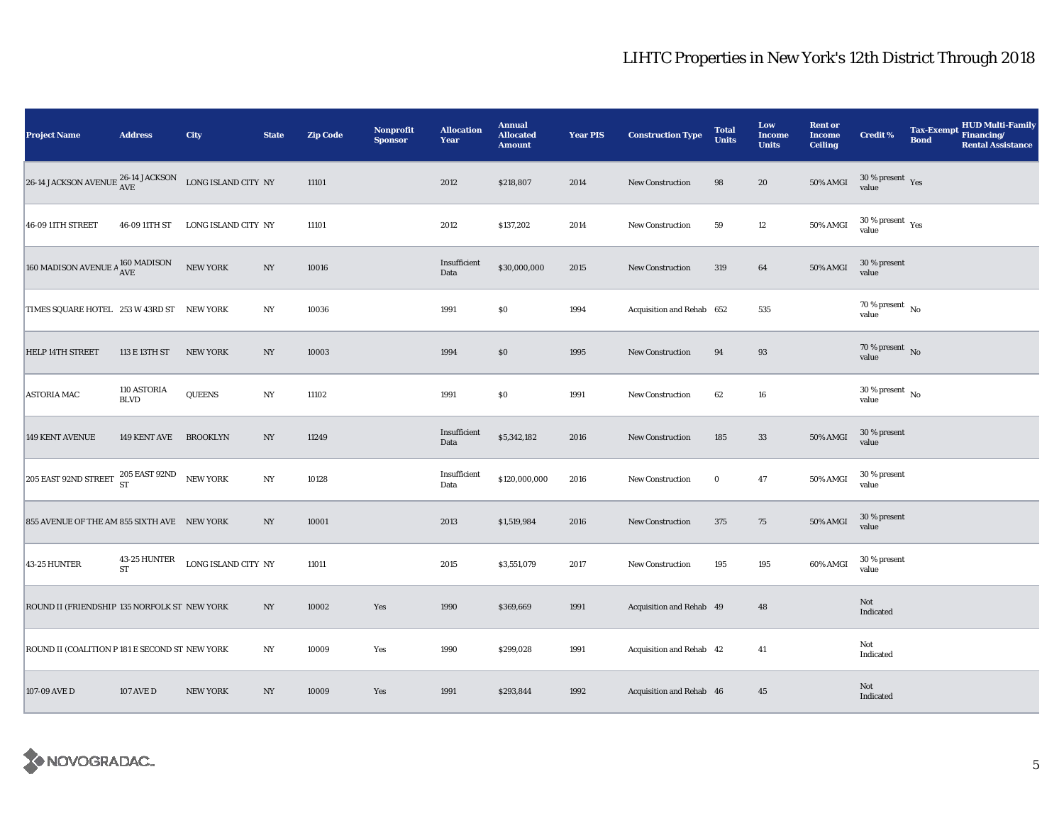| <b>Project Name</b>                                                                                                                                    | <b>Address</b>             | City                | <b>State</b>     | <b>Zip Code</b> | Nonprofit<br><b>Sponsor</b> | <b>Allocation</b><br>Year | <b>Annual</b><br><b>Allocated</b><br><b>Amount</b> | <b>Year PIS</b> | <b>Construction Type</b>  | <b>Total</b><br><b>Units</b> | Low<br>Income<br><b>Units</b> | <b>Rent or</b><br><b>Income</b><br><b>Ceiling</b> | Credit %                                 | <b>Tax-Exempt</b><br><b>Bond</b> | HUD Multi-Family<br>Financing/<br><b>Rental Assistance</b> |
|--------------------------------------------------------------------------------------------------------------------------------------------------------|----------------------------|---------------------|------------------|-----------------|-----------------------------|---------------------------|----------------------------------------------------|-----------------|---------------------------|------------------------------|-------------------------------|---------------------------------------------------|------------------------------------------|----------------------------------|------------------------------------------------------------|
| 26-14 JACKSON AVENUE $^{26\text{--}14}$ JACKSON $~$ LONG ISLAND CITY $~\text{NY}$                                                                      |                            |                     |                  | 11101           |                             | 2012                      | \$218,807                                          | 2014            | <b>New Construction</b>   | 98                           | 20                            | <b>50% AMGI</b>                                   | $30\,\%$ present $\,$ Yes value          |                                  |                                                            |
| 46-09 11TH STREET                                                                                                                                      | 46-09 11TH ST              | LONG ISLAND CITY NY |                  | 11101           |                             | 2012                      | \$137,202                                          | 2014            | New Construction          | 59                           | $12\,$                        | 50% AMGI                                          | $30\,\%$ present $\,$ $\rm Yes$<br>value |                                  |                                                            |
| 160 MADISON AVENUE A $^{160}_{\Lambda\text{VE}}$ MADISON                                                                                               |                            | <b>NEW YORK</b>     | $_{\mathrm{NY}}$ | 10016           |                             | Insufficient<br>Data      | \$30,000,000                                       | 2015            | New Construction          | 319                          | 64                            | 50% AMGI                                          | 30 % present<br>value                    |                                  |                                                            |
| TIMES SQUARE HOTEL 253 W 43RD ST NEW YORK                                                                                                              |                            |                     | NY               | 10036           |                             | 1991                      | $\$0$                                              | 1994            | Acquisition and Rehab 652 |                              | 535                           |                                                   | $70$ % present $\,$ No $\,$<br>value     |                                  |                                                            |
| HELP 14TH STREET                                                                                                                                       | 113 E 13TH ST              | <b>NEW YORK</b>     | NY               | 10003           |                             | 1994                      | $\$0$                                              | 1995            | New Construction          | 94                           | 93                            |                                                   | $70\,\%$ present $\,$ No value           |                                  |                                                            |
| <b>ASTORIA MAC</b>                                                                                                                                     | 110 ASTORIA<br><b>BLVD</b> | <b>QUEENS</b>       | $_{\mathrm{NY}}$ | 11102           |                             | 1991                      | $\$0$                                              | 1991            | New Construction          | 62                           | 16                            |                                                   | $30$ % present $\,$ No $\,$<br>value     |                                  |                                                            |
| 149 KENT AVENUE                                                                                                                                        | 149 KENT AVE BROOKLYN      |                     | NY               | 11249           |                             | Insufficient<br>Data      | \$5,342,182                                        | 2016            | <b>New Construction</b>   | 185                          | 33                            | 50% AMGI                                          | 30 % present<br>value                    |                                  |                                                            |
| $\boxed{\textbf{205 EAST 92ND STREET}\begin{array}{c} \textbf{205 EAST 92ND}\\\textbf{ST}\end{array}} \begin{array}{c} \textbf{NEW YORK} \end{array}}$ |                            |                     | $_{\mathrm{NY}}$ | 10128           |                             | Insufficient<br>Data      | \$120,000,000                                      | 2016            | <b>New Construction</b>   | $\bf{0}$                     | 47                            | 50% AMGI                                          | 30 % present<br>value                    |                                  |                                                            |
| 855 AVENUE OF THE AM 855 SIXTH AVE NEW YORK                                                                                                            |                            |                     | NY               | 10001           |                             | 2013                      | \$1,519,984                                        | 2016            | New Construction          | 375                          | 75                            | 50% AMGI                                          | 30 % present<br>value                    |                                  |                                                            |
| 43-25 HUNTER                                                                                                                                           | 43-25 HUNTER<br>ST         | LONG ISLAND CITY NY |                  | 11011           |                             | 2015                      | \$3,551,079                                        | 2017            | New Construction          | 195                          | 195                           | 60% AMGI                                          | 30 % present<br>value                    |                                  |                                                            |
| ROUND II (FRIENDSHIP 135 NORFOLK ST NEW YORK                                                                                                           |                            |                     | $_{\mathrm{NY}}$ | 10002           | Yes                         | 1990                      | \$369,669                                          | 1991            | Acquisition and Rehab 49  |                              | 48                            |                                                   | Not<br>Indicated                         |                                  |                                                            |
| ROUND II (COALITION P 181 E SECOND ST NEW YORK                                                                                                         |                            |                     | $_{\mathrm{NY}}$ | 10009           | Yes                         | 1990                      | \$299,028                                          | 1991            | Acquisition and Rehab 42  |                              | 41                            |                                                   | Not<br>Indicated                         |                                  |                                                            |
| 107-09 AVE D                                                                                                                                           | <b>107 AVE D</b>           | <b>NEW YORK</b>     | NY               | 10009           | Yes                         | 1991                      | \$293,844                                          | 1992            | Acquisition and Rehab 46  |                              | 45                            |                                                   | Not<br>Indicated                         |                                  |                                                            |

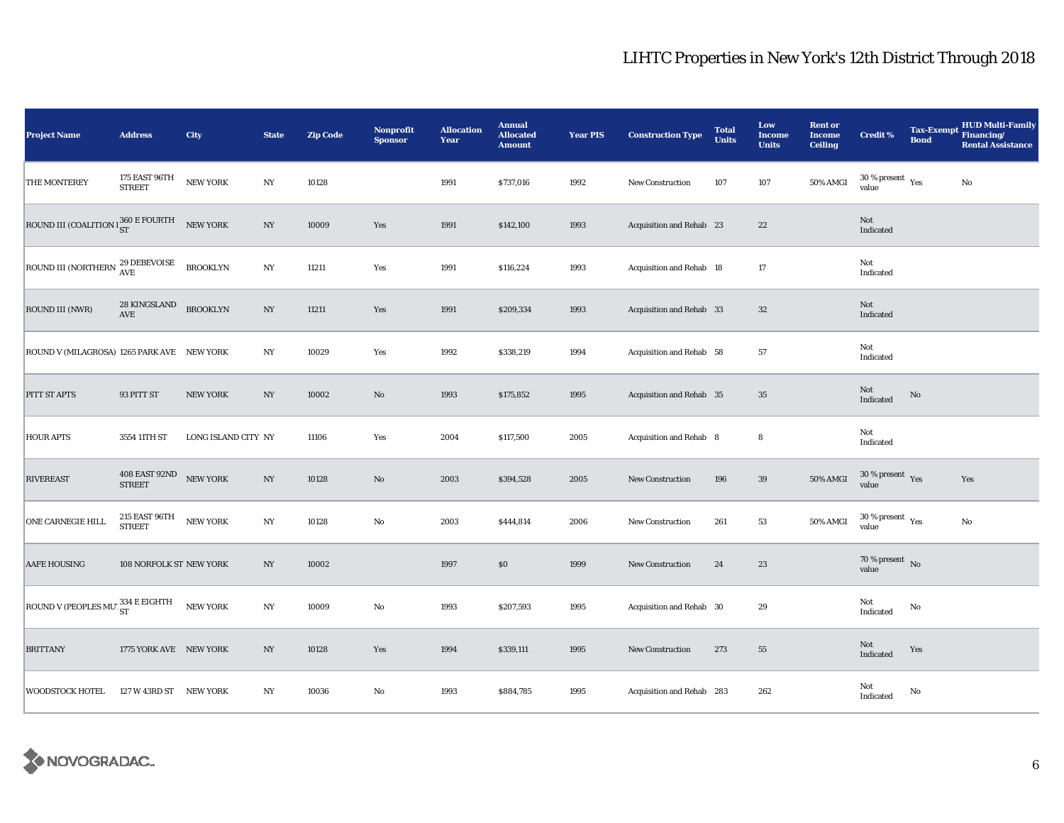| <b>Project Name</b>                                  | <b>Address</b>                          | City                | <b>State</b>     | <b>Zip Code</b> | <b>Nonprofit</b><br><b>Sponsor</b> | <b>Allocation</b><br>Year | <b>Annual</b><br><b>Allocated</b><br><b>Amount</b> | <b>Year PIS</b> | <b>Construction Type</b>  | <b>Total</b><br><b>Units</b> | Low<br><b>Income</b><br><b>Units</b> | <b>Rent or</b><br><b>Income</b><br><b>Ceiling</b> | <b>Credit %</b>                              | <b>Bond</b> | <b>HUD Multi-Family</b><br>Tax-Exempt Financing/<br><b>Rental Assistance</b> |
|------------------------------------------------------|-----------------------------------------|---------------------|------------------|-----------------|------------------------------------|---------------------------|----------------------------------------------------|-----------------|---------------------------|------------------------------|--------------------------------------|---------------------------------------------------|----------------------------------------------|-------------|------------------------------------------------------------------------------|
| <b>THE MONTEREY</b>                                  | 175 EAST 96TH<br><b>STREET</b>          | NEW YORK            | $_{\mathrm{NY}}$ | 10128           |                                    | 1991                      | \$737,016                                          | 1992            | New Construction          | 107                          | 107                                  | 50% AMGI                                          | $30\,\%$ present $\,$ Yes value              |             | $\rm No$                                                                     |
| ROUND III (COALITION 1360 E FOURTH                   |                                         | NEW YORK            | NY               | 10009           | Yes                                | 1991                      | \$142,100                                          | 1993            | Acquisition and Rehab 23  |                              | $\bf{22}$                            |                                                   | Not<br>Indicated                             |             |                                                                              |
| ROUND III (NORTHERN $_{\rm AVE}^{29\rm\, DEBEVOISE}$ |                                         | <b>BROOKLYN</b>     | NY               | 11211           | Yes                                | 1991                      | \$116,224                                          | 1993            | Acquisition and Rehab 18  |                              | $17\,$                               |                                                   | Not<br>Indicated                             |             |                                                                              |
| ROUND III (NWR)                                      | 28 KINGSLAND<br>$\operatorname{AVE}$    | <b>BROOKLYN</b>     | $_{\mathrm{NY}}$ | 11211           | Yes                                | 1991                      | \$209,334                                          | 1993            | Acquisition and Rehab 33  |                              | $32\,$                               |                                                   | Not<br>Indicated                             |             |                                                                              |
| ROUND V (MILAGROSA) 1265 PARK AVE NEW YORK           |                                         |                     | $_{\mathrm{NY}}$ | 10029           | Yes                                | 1992                      | \$338,219                                          | 1994            | Acquisition and Rehab 58  |                              | $57\,$                               |                                                   | Not<br>Indicated                             |             |                                                                              |
| PITT ST APTS                                         | 93 PITT ST                              | <b>NEW YORK</b>     | $_{\mathrm{NY}}$ | 10002           | $\rm No$                           | 1993                      | \$175,852                                          | 1995            | Acquisition and Rehab 35  |                              | $\bf 35$                             |                                                   | Not<br>Indicated                             | No          |                                                                              |
| <b>HOUR APTS</b>                                     | 3554 11TH ST                            | LONG ISLAND CITY NY |                  | 11106           | Yes                                | 2004                      | \$117,500                                          | 2005            | Acquisition and Rehab 8   |                              | $\bf8$                               |                                                   | Not<br>Indicated                             |             |                                                                              |
| <b>RIVEREAST</b>                                     | 408 EAST 92ND NEW YORK<br><b>STREET</b> |                     | $_{\mathrm{NY}}$ | 10128           | $\rm No$                           | 2003                      | \$394,528                                          | 2005            | <b>New Construction</b>   | 196                          | $39\,$                               | 50% AMGI                                          | $30$ % present $\,$ $\rm Yes$<br>value       |             | Yes                                                                          |
| ONE CARNEGIE HILL                                    | 215 EAST 96TH<br>STREET                 | NEW YORK            | NY               | 10128           | $\rm No$                           | 2003                      | \$444,814                                          | 2006            | New Construction          | 261                          | 53                                   | 50% AMGI                                          | $30$ % present $\rm\thinspace\,Yes$<br>value |             | $\mathbf{No}$                                                                |
| <b>AAFE HOUSING</b>                                  | 108 NORFOLK ST NEW YORK                 |                     | NY               | 10002           |                                    | 1997                      | \$0\$                                              | 1999            | New Construction          | 24                           | 23                                   |                                                   | 70 % present $\hbox{~No}$<br>value           |             |                                                                              |
| <b>ROUND V (PEOPLES MU'</b> $_{ST}^{334}$ E EIGHTH   |                                         | <b>NEW YORK</b>     | $_{\mathrm{NY}}$ | 10009           | $\rm No$                           | 1993                      | \$207,593                                          | 1995            | Acquisition and Rehab 30  |                              | 29                                   |                                                   | Not<br>Indicated                             | No          |                                                                              |
| <b>BRITTANY</b>                                      | 1775 YORK AVE NEW YORK                  |                     | $_{\mathrm{NY}}$ | 10128           | Yes                                | 1994                      | \$339,111                                          | 1995            | New Construction          | 273                          | 55                                   |                                                   | Not<br>Indicated                             | Yes         |                                                                              |
| <b>WOODSTOCK HOTEL</b>                               | 127 W 43RD ST NEW YORK                  |                     | $_{\mathrm{NY}}$ | 10036           | No                                 | 1993                      | \$884,785                                          | 1995            | Acquisition and Rehab 283 |                              | 262                                  |                                                   | Not<br>Indicated                             | No          |                                                                              |

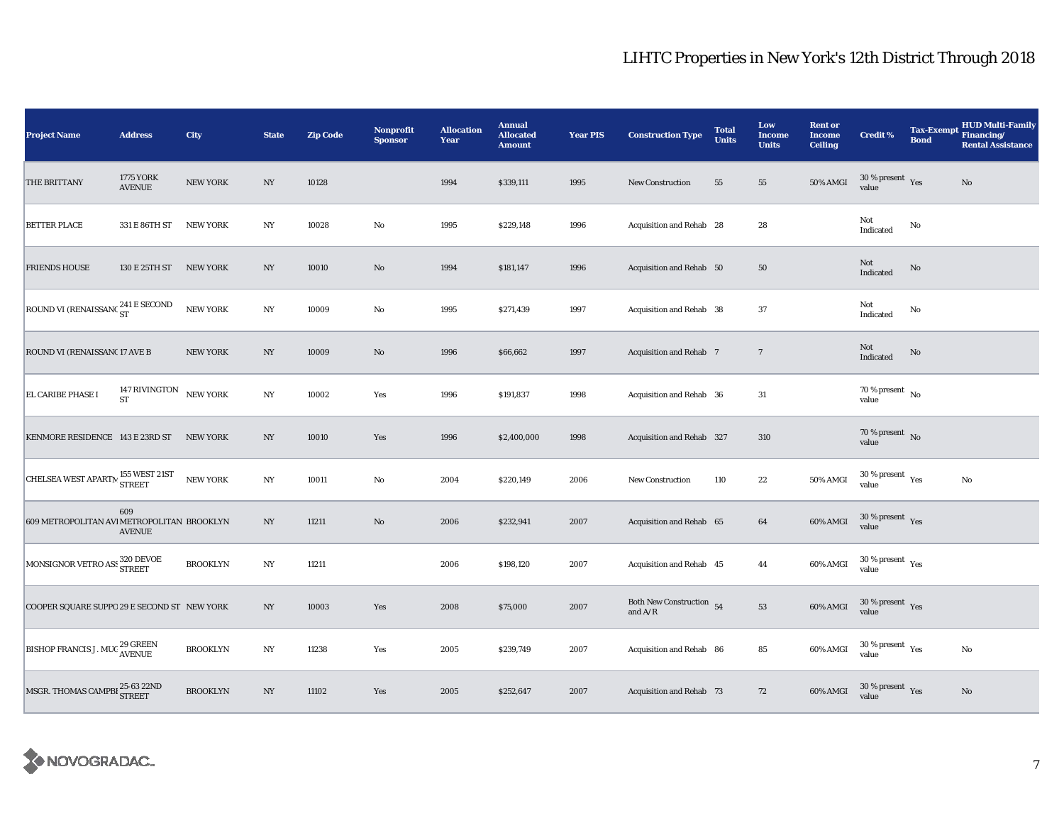| <b>Project Name</b>                            | <b>Address</b>                    | City            | <b>State</b>     | <b>Zip Code</b> | Nonprofit<br><b>Sponsor</b> | <b>Allocation</b><br>Year | <b>Annual</b><br><b>Allocated</b><br><b>Amount</b> | <b>Year PIS</b> | <b>Construction Type</b>                                                            | <b>Total</b><br><b>Units</b> | Low<br><b>Income</b><br><b>Units</b> | <b>Rent or</b><br><b>Income</b><br><b>Ceiling</b> | <b>Credit %</b>                                   | <b>Tax-Exempt</b><br><b>Bond</b> | <b>HUD Multi-Family</b><br>Financing/<br><b>Rental Assistance</b> |
|------------------------------------------------|-----------------------------------|-----------------|------------------|-----------------|-----------------------------|---------------------------|----------------------------------------------------|-----------------|-------------------------------------------------------------------------------------|------------------------------|--------------------------------------|---------------------------------------------------|---------------------------------------------------|----------------------------------|-------------------------------------------------------------------|
| THE BRITTANY                                   | <b>1775 YORK</b><br><b>AVENUE</b> | <b>NEW YORK</b> | NY               | 10128           |                             | 1994                      | \$339,111                                          | 1995            | <b>New Construction</b>                                                             | 55                           | 55                                   | 50% AMGI                                          | $30\,\%$ present $\,$ Yes value                   |                                  | $\mathbf{No}$                                                     |
| <b>BETTER PLACE</b>                            | 331 E 86TH ST                     | <b>NEW YORK</b> | NY               | 10028           | No                          | 1995                      | \$229,148                                          | 1996            | Acquisition and Rehab 28                                                            |                              | 28                                   |                                                   | Not<br>Indicated                                  | No                               |                                                                   |
| <b>FRIENDS HOUSE</b>                           | 130 E 25TH ST                     | <b>NEW YORK</b> | NY               | 10010           | $\mathbf{N}\mathbf{o}$      | 1994                      | \$181,147                                          | 1996            | Acquisition and Rehab 50                                                            |                              | ${\bf 50}$                           |                                                   | Not<br>Indicated                                  | No                               |                                                                   |
| ROUND VI (RENAISSANC $^{241}_{ST}$ E SECOND    |                                   | <b>NEW YORK</b> | $_{\mathrm{NY}}$ | 10009           | $\rm No$                    | 1995                      | \$271,439                                          | 1997            | Acquisition and Rehab 38                                                            |                              | 37                                   |                                                   | Not<br>Indicated                                  | No                               |                                                                   |
| ROUND VI (RENAISSANC 17 AVE B                  |                                   | <b>NEW YORK</b> | NY               | 10009           | $\rm No$                    | 1996                      | \$66,662                                           | 1997            | Acquisition and Rehab 7                                                             |                              | $7\phantom{.0}$                      |                                                   | Not<br>$\label{thm:indicated} \textbf{Indicated}$ | No                               |                                                                   |
| EL CARIBE PHASE I                              | 147 RIVINGTON<br><b>ST</b>        | <b>NEW YORK</b> | $_{\mathrm{NY}}$ | 10002           | Yes                         | 1996                      | \$191,837                                          | 1998            | Acquisition and Rehab 36                                                            |                              | 31                                   |                                                   | 70 % present $\hbox{~No}$<br>value                |                                  |                                                                   |
| KENMORE RESIDENCE 143 E 23RD ST                |                                   | <b>NEW YORK</b> | NY               | 10010           | Yes                         | 1996                      | \$2,400,000                                        | 1998            | Acquisition and Rehab 327                                                           |                              | 310                                  |                                                   | $70\,\%$ present $${\rm No}$$ value               |                                  |                                                                   |
| CHELSEA WEST APARTN $^{155}_{\rm STREET}$ 21ST |                                   | <b>NEW YORK</b> | $_{\mathrm{NY}}$ | 10011           | No                          | 2004                      | \$220,149                                          | 2006            | <b>New Construction</b>                                                             | 110                          | $22\,$                               | 50% AMGI                                          | $30\,\%$ present $\,$ Yes value                   |                                  | $\mathbf{No}$                                                     |
| 609 METROPOLITAN AVI METROPOLITAN BROOKLYN     | 609<br><b>AVENUE</b>              |                 | NY               | 11211           | $\mathbf{N}\mathbf{o}$      | 2006                      | \$232,941                                          | 2007            | Acquisition and Rehab 65                                                            |                              | 64                                   | 60% AMGI                                          | 30 % present $\gamma_{\rm{es}}$<br>value          |                                  |                                                                   |
| MONSIGNOR VETRO ASS 320 DEVOE                  |                                   | <b>BROOKLYN</b> | NY               | 11211           |                             | 2006                      | \$198,120                                          | 2007            | Acquisition and Rehab 45                                                            |                              | 44                                   | 60% AMGI                                          | $30\,\%$ present $\,$ $\rm Yes$<br>value          |                                  |                                                                   |
| COOPER SQUARE SUPPO 29 E SECOND ST NEW YORK    |                                   |                 | $_{\mathrm{NY}}$ | 10003           | Yes                         | 2008                      | \$75,000                                           | 2007            | Both New Construction $54$<br>and $\ensuremath{\mathrm{A}}/\ensuremath{\mathrm{R}}$ |                              | ${\bf 53}$                           | 60% AMGI                                          | $30$ % present $\,$ $\rm Yes$<br>value            |                                  |                                                                   |
| <b>BISHOP FRANCIS J. MUC 29 GREEN</b>          |                                   | <b>BROOKLYN</b> | $_{\mathrm{NY}}$ | 11238           | Yes                         | 2005                      | \$239,749                                          | 2007            | Acquisition and Rehab 86                                                            |                              | 85                                   | 60% AMGI                                          | $30$ % present $\rm\thinspace\,Yes$<br>value      |                                  | No                                                                |
| MSGR. THOMAS CAMPBI 25-63 22ND                 |                                   | <b>BROOKLYN</b> | $_{\mathrm{NY}}$ | 11102           | Yes                         | 2005                      | \$252,647                                          | 2007            | Acquisition and Rehab 73                                                            |                              | 72                                   | 60% AMGI                                          | $30\,\%$ present $\,$ Yes<br>value                |                                  | $\mathbf{No}$                                                     |

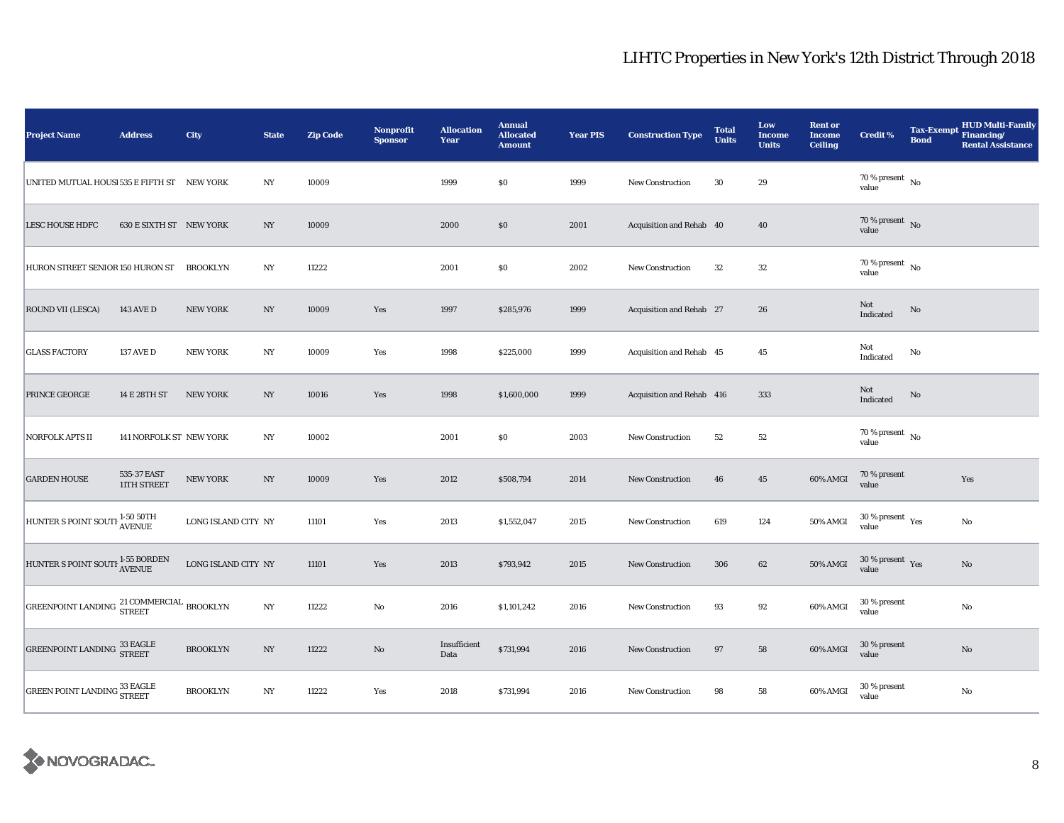| <b>Project Name</b>                                  | <b>Address</b>             | City                | <b>State</b>     | <b>Zip Code</b> | Nonprofit<br><b>Sponsor</b> | <b>Allocation</b><br>Year | <b>Annual</b><br><b>Allocated</b><br><b>Amount</b> | <b>Year PIS</b> | <b>Construction Type</b>  | <b>Total</b><br><b>Units</b> | Low<br><b>Income</b><br><b>Units</b> | <b>Rent or</b><br><b>Income</b><br><b>Ceiling</b> | <b>Credit %</b>                              | <b>Tax-Exempt</b><br><b>Bond</b> | <b>HUD Multi-Family</b><br>Financing/<br><b>Rental Assistance</b> |
|------------------------------------------------------|----------------------------|---------------------|------------------|-----------------|-----------------------------|---------------------------|----------------------------------------------------|-----------------|---------------------------|------------------------------|--------------------------------------|---------------------------------------------------|----------------------------------------------|----------------------------------|-------------------------------------------------------------------|
| UNITED MUTUAL HOUSI 535 E FIFTH ST NEW YORK          |                            |                     | NY               | 10009           |                             | 1999                      | $\$0$                                              | 1999            | <b>New Construction</b>   | 30                           | 29                                   |                                                   | 70 % present $\hbox{~No}$<br>value           |                                  |                                                                   |
| <b>LESC HOUSE HDFC</b>                               | 630 E SIXTH ST NEW YORK    |                     | NY               | 10009           |                             | 2000                      | $\$0$                                              | 2001            | Acquisition and Rehab 40  |                              | 40                                   |                                                   | $70\%$ present No<br>value                   |                                  |                                                                   |
| HURON STREET SENIOR 150 HURON ST                     |                            | <b>BROOKLYN</b>     | NY               | 11222           |                             | 2001                      | \$0                                                | 2002            | New Construction          | 32                           | 32                                   |                                                   | $70$ % present $\,$ No $\,$<br>value         |                                  |                                                                   |
| <b>ROUND VII (LESCA)</b>                             | <b>143 AVE D</b>           | <b>NEW YORK</b>     | $_{\mathrm{NY}}$ | 10009           | Yes                         | 1997                      | \$285,976                                          | 1999            | Acquisition and Rehab 27  |                              | 26                                   |                                                   | Not<br>Indicated                             | No                               |                                                                   |
| <b>GLASS FACTORY</b>                                 | 137 AVE D                  | <b>NEW YORK</b>     | $_{\mathrm{NY}}$ | 10009           | Yes                         | 1998                      | \$225,000                                          | 1999            | Acquisition and Rehab 45  |                              | 45                                   |                                                   | Not<br>Indicated                             | No                               |                                                                   |
| PRINCE GEORGE                                        | 14 E 28TH ST               | <b>NEW YORK</b>     | $_{\mathrm{NY}}$ | 10016           | Yes                         | 1998                      | \$1,600,000                                        | 1999            | Acquisition and Rehab 416 |                              | 333                                  |                                                   | Not<br>Indicated                             | No                               |                                                                   |
| NORFOLK APTS II                                      | 141 NORFOLK ST NEW YORK    |                     | NY               | 10002           |                             | 2001                      | $\$0$                                              | 2003            | <b>New Construction</b>   | 52                           | $52\,$                               |                                                   | $70\,\%$ present $\,$ No $\,$<br>value       |                                  |                                                                   |
| <b>GARDEN HOUSE</b>                                  | 535-37 EAST<br>11TH STREET | <b>NEW YORK</b>     | $_{\mathrm{NY}}$ | 10009           | Yes                         | 2012                      | \$508,794                                          | 2014            | <b>New Construction</b>   | 46                           | $45\,$                               | 60% AMGI                                          | 70 % present<br>value                        |                                  | Yes                                                               |
| HUNTER S POINT SOUTH <sup>1-50 50TH</sup>            |                            | LONG ISLAND CITY NY |                  | 11101           | Yes                         | 2013                      | \$1,552,047                                        | 2015            | <b>New Construction</b>   | 619                          | 124                                  | 50% AMGI                                          | $30$ % present $\rm\thinspace\,Yes$<br>value |                                  | $\mathbf{No}$                                                     |
| HUNTER S POINT SOUTH 1-55 BORDEN                     |                            | LONG ISLAND CITY NY |                  | 11101           | Yes                         | 2013                      | \$793,942                                          | 2015            | New Construction          | 306                          | 62                                   | 50% AMGI                                          | $30\,\%$ present $\,$ Yes<br>value           |                                  | $\mathbf{No}$                                                     |
| GREENPOINT LANDING <sup>21</sup> COMMERCIAL BROOKLYN |                            |                     | $_{\mathrm{NY}}$ | 11222           | No                          | 2016                      | \$1,101,242                                        | 2016            | <b>New Construction</b>   | 93                           | 92                                   | 60% AMGI                                          | 30 % present<br>value                        |                                  | No                                                                |
| <b>GREENPOINT LANDING 33 EAGLE</b>                   |                            | <b>BROOKLYN</b>     | $_{\mathrm{NY}}$ | 11222           | $\rm No$                    | Insufficient<br>Data      | \$731,994                                          | 2016            | New Construction          | 97                           | 58                                   | 60% AMGI                                          | 30 % present<br>value                        |                                  | $\mathbf{No}$                                                     |
| <b>GREEN POINT LANDING 33 EAGLE</b>                  |                            | <b>BROOKLYN</b>     | $_{\mathrm{NY}}$ | 11222           | Yes                         | 2018                      | \$731,994                                          | 2016            | New Construction          | 98                           | ${\bf 58}$                           | 60% AMGI                                          | 30 % present<br>value                        |                                  | No                                                                |

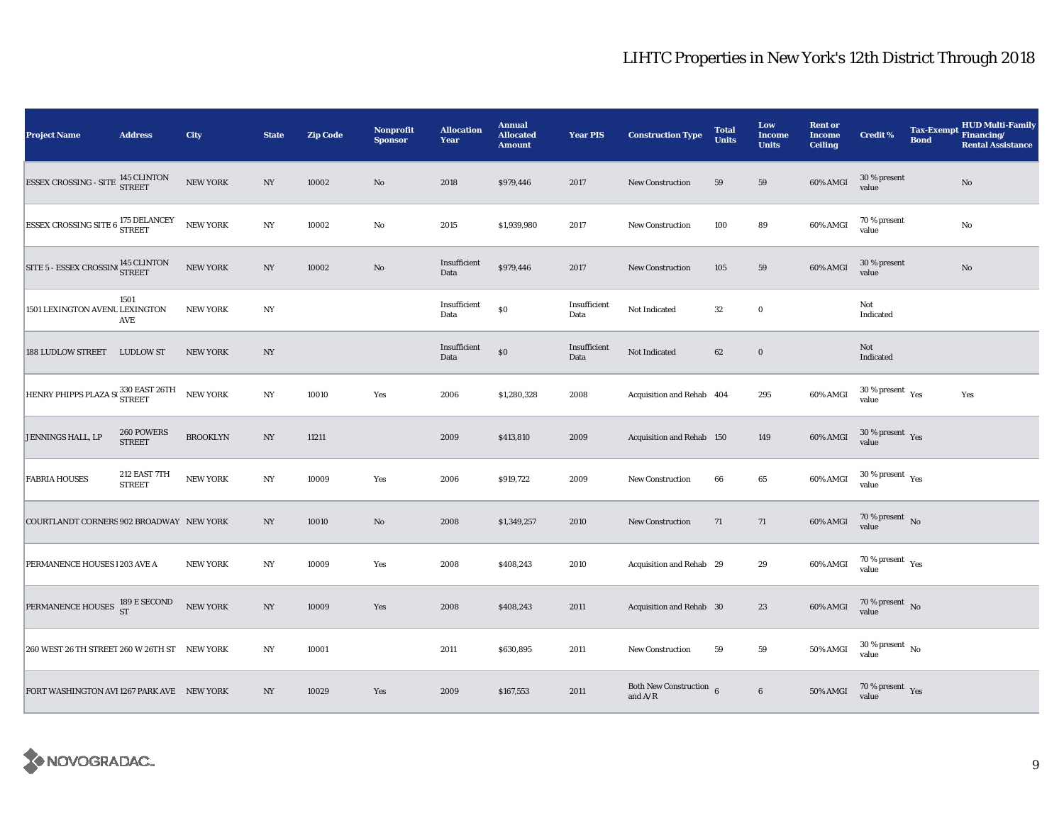| <b>Project Name</b>                                                                                         | <b>Address</b>                | <b>City</b>     | <b>State</b>     | <b>Zip Code</b> | Nonprofit<br><b>Sponsor</b> | <b>Allocation</b><br>Year | <b>Annual</b><br><b>Allocated</b><br><b>Amount</b> | <b>Year PIS</b>      | <b>Construction Type</b>               | <b>Total</b><br><b>Units</b> | Low<br><b>Income</b><br><b>Units</b> | <b>Rent or</b><br><b>Income</b><br><b>Ceiling</b> | <b>Credit %</b>                          | <b>Bond</b> | <b>HUD Multi-Family</b><br>Tax-Exempt Financing/<br><b>Rental Assistance</b> |
|-------------------------------------------------------------------------------------------------------------|-------------------------------|-----------------|------------------|-----------------|-----------------------------|---------------------------|----------------------------------------------------|----------------------|----------------------------------------|------------------------------|--------------------------------------|---------------------------------------------------|------------------------------------------|-------------|------------------------------------------------------------------------------|
| $\begin{array}{ll} \texttt{ESSEX CROS SING - SITE} & \texttt{145 CLINTON} \\ \texttt{STREET} & \end{array}$ |                               | <b>NEW YORK</b> | $_{\mathrm{NY}}$ | 10002           | $\rm\thinspace No$          | 2018                      | \$979,446                                          | 2017                 | New Construction                       | 59                           | 59                                   | 60% AMGI                                          | $30\,\%$ present<br>value                |             | No                                                                           |
| ${\tt ESEX \; CROS SING \; SITE \; 6} \; {\small \frac{175 \; DELANCEY}{STREET}}$                           |                               | <b>NEW YORK</b> | $_{\mathrm{NY}}$ | 10002           | $\rm No$                    | 2015                      | \$1,939,980                                        | 2017                 | <b>New Construction</b>                | 100                          | 89                                   | 60% AMGI                                          | 70 % present<br>value                    |             | $\rm No$                                                                     |
| $\boxed{\textrm{STTE 5 - ESSEX CROSIN} \label{eq:STTE} ^{145~CLINTON}$                                      |                               | NEW YORK        | NY               | 10002           | $\rm\thinspace No$          | Insufficient<br>Data      | \$979,446                                          | 2017                 | New Construction                       | 105                          | 59                                   | 60% AMGI                                          | 30 % present<br>value                    |             | $\rm No$                                                                     |
| 1501 LEXINGTON AVENU LEXINGTON                                                                              | 1501<br>AVE                   | <b>NEW YORK</b> | NY               |                 |                             | Insufficient<br>Data      | $\$0$                                              | Insufficient<br>Data | Not Indicated                          | 32                           | $\bf{0}$                             |                                                   | Not<br>Indicated                         |             |                                                                              |
| 188 LUDLOW STREET LUDLOW ST                                                                                 |                               | <b>NEW YORK</b> | $_{\mathrm{NY}}$ |                 |                             | Insufficient<br>Data      | $\$0$                                              | Insufficient<br>Data | Not Indicated                          | 62                           | $\bf{0}$                             |                                                   | Not<br>Indicated                         |             |                                                                              |
| HENRY PHIPPS PLAZA S( <sup>330 EAST 26TH</sup> NEW YORK                                                     |                               |                 | $_{\mathrm{NY}}$ | 10010           | Yes                         | 2006                      | \$1,280,328                                        | 2008                 | Acquisition and Rehab 404              |                              | 295                                  | 60% AMGI                                          | $30\,\%$ present $\,$ Yes value          |             | Yes                                                                          |
| JENNINGS HALL, LP                                                                                           | 260 POWERS<br><b>STREET</b>   | <b>BROOKLYN</b> | NY               | 11211           |                             | 2009                      | \$413,810                                          | 2009                 | Acquisition and Rehab 150              |                              | 149                                  | 60% AMGI                                          | $30\,\%$ present $\,$ Yes value          |             |                                                                              |
| <b>FABRIA HOUSES</b>                                                                                        | 212 EAST 7TH<br><b>STREET</b> | <b>NEW YORK</b> | $_{\mathrm{NY}}$ | 10009           | Yes                         | 2006                      | \$919,722                                          | 2009                 | New Construction                       | 66                           | $\bf 65$                             | 60% AMGI                                          | $30\,\%$ present $\,$ Yes value          |             |                                                                              |
| COURTLANDT CORNERS 902 BROADWAY NEW YORK                                                                    |                               |                 | NY               | 10010           | $\rm No$                    | 2008                      | \$1,349,257                                        | 2010                 | New Construction                       | 71                           | 71                                   | 60% AMGI                                          | $70\,\%$ present $\,$ No value           |             |                                                                              |
| PERMANENCE HOUSES 1203 AVE A                                                                                |                               | <b>NEW YORK</b> | NY               | 10009           | Yes                         | 2008                      | \$408,243                                          | 2010                 | Acquisition and Rehab 29               |                              | 29                                   | 60% AMGI                                          | $70\,\%$ present $\,$ $\rm Yes$<br>value |             |                                                                              |
| PERMANENCE HOUSES 189 E SECOND                                                                              |                               | <b>NEW YORK</b> | $_{\mathrm{NY}}$ | 10009           | Yes                         | 2008                      | \$408,243                                          | 2011                 | Acquisition and Rehab 30               |                              | 23                                   | 60% AMGI                                          | $70\,\%$ present $\,$ No $\,$<br>value   |             |                                                                              |
| 260 WEST 26 TH STREET 260 W 26TH ST NEW YORK                                                                |                               |                 | $_{\mathrm{NY}}$ | 10001           |                             | 2011                      | \$630,895                                          | 2011                 | New Construction                       | 59                           | 59                                   | 50% AMGI                                          | $30$ % present $\,$ No $\,$<br>value     |             |                                                                              |
| FORT WASHINGTON AVI 1267 PARK AVE NEW YORK                                                                  |                               |                 | $_{\mathrm{NY}}$ | 10029           | Yes                         | 2009                      | \$167,553                                          | 2011                 | Both New Construction $6$<br>and $A/R$ |                              | $\bf 6$                              | <b>50% AMGI</b>                                   | $70\,\%$ present $\,$ Yes value          |             |                                                                              |